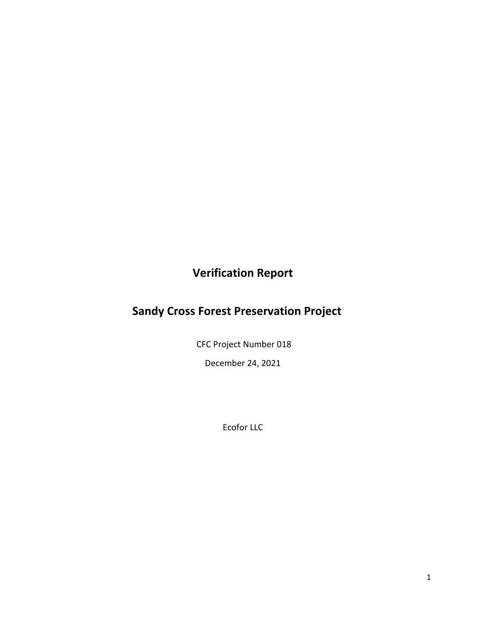## **Verification Report**

## **Sandy Cross Forest Preservation Project**

CFC Project Number 018

December 24, 2021

Ecofor LLC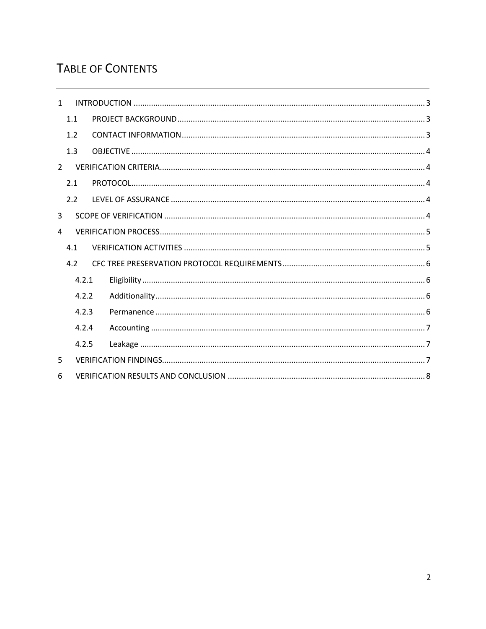# **TABLE OF CONTENTS**

| $\mathbf{1}$   |                |       |  |  |  |  |  |  |
|----------------|----------------|-------|--|--|--|--|--|--|
|                | 1.1            |       |  |  |  |  |  |  |
|                | 1.2            |       |  |  |  |  |  |  |
|                | 1.3            |       |  |  |  |  |  |  |
| $\overline{2}$ |                |       |  |  |  |  |  |  |
|                | 2.1            |       |  |  |  |  |  |  |
|                | 2.2            |       |  |  |  |  |  |  |
| 3              |                |       |  |  |  |  |  |  |
| 4              |                |       |  |  |  |  |  |  |
|                | 4.1            |       |  |  |  |  |  |  |
|                | 4.2            |       |  |  |  |  |  |  |
|                | 4.2.1<br>4.2.2 |       |  |  |  |  |  |  |
|                |                |       |  |  |  |  |  |  |
|                |                | 4.2.3 |  |  |  |  |  |  |
|                | 4.2.4<br>4.2.5 |       |  |  |  |  |  |  |
|                |                |       |  |  |  |  |  |  |
| 5              |                |       |  |  |  |  |  |  |
| 6              |                |       |  |  |  |  |  |  |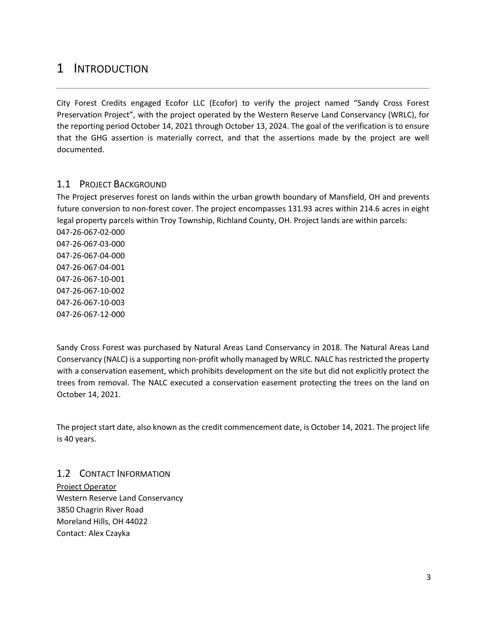## <span id="page-2-0"></span>1 INTRODUCTION

City Forest Credits engaged Ecofor LLC (Ecofor) to verify the project named "Sandy Cross Forest Preservation Project", with the project operated by the Western Reserve Land Conservancy (WRLC), for the reporting period October 14, 2021 through October 13, 2024. The goal of the verification is to ensure that the GHG assertion is materially correct, and that the assertions made by the project are well documented.

### <span id="page-2-1"></span>1.1 PROJECT BACKGROUND

The Project preserves forest on lands within the urban growth boundary of Mansfield, OH and prevents future conversion to non-forest cover. The project encompasses 131.93 acres within 214.6 acres in eight legal property parcels within Troy Township, Richland County, OH. Project lands are within parcels: 047-26-067-02-000

047-26-067-03-000 047-26-067-04-000 047-26-067-04-001 047-26-067-10-001 047-26-067-10-002 047-26-067-10-003 047-26-067-12-000

Sandy Cross Forest was purchased by Natural Areas Land Conservancy in 2018. The Natural Areas Land Conservancy (NALC) is a supporting non-profit wholly managed by WRLC. NALC has restricted the property with a conservation easement, which prohibits development on the site but did not explicitly protect the trees from removal. The NALC executed a conservation easement protecting the trees on the land on October 14, 2021.

The project start date, also known as the credit commencement date, is October 14, 2021. The project life is 40 years.

<span id="page-2-2"></span>1.2 CONTACT INFORMATION Project Operator Western Reserve Land Conservancy 3850 Chagrin River Road Moreland Hills, OH 44022 Contact: Alex Czayka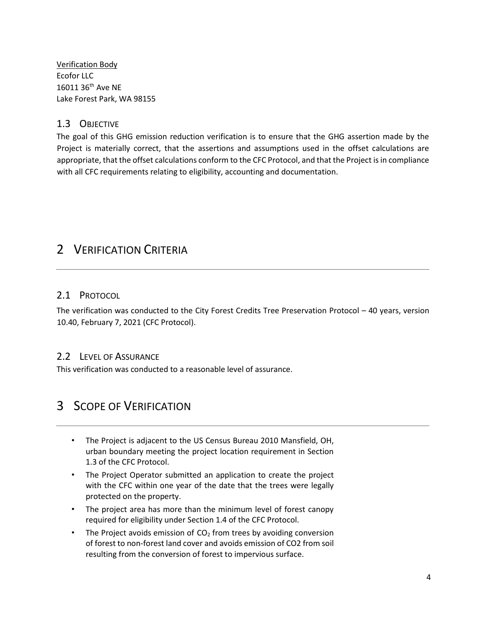Verification Body Ecofor LLC 16011 36th Ave NE Lake Forest Park, WA 98155

### <span id="page-3-0"></span>1.3 OBJECTIVE

The goal of this GHG emission reduction verification is to ensure that the GHG assertion made by the Project is materially correct, that the assertions and assumptions used in the offset calculations are appropriate, that the offset calculations conform to the CFC Protocol, and that the Project is in compliance with all CFC requirements relating to eligibility, accounting and documentation.

## <span id="page-3-1"></span>2 VERIFICATION CRITERIA

### <span id="page-3-2"></span>2.1 PROTOCOL

The verification was conducted to the City Forest Credits Tree Preservation Protocol – 40 years, version 10.40, February 7, 2021 (CFC Protocol).

### <span id="page-3-3"></span>2.2 LEVEL OF ASSURANCE

This verification was conducted to a reasonable level of assurance.

### <span id="page-3-4"></span>3 SCOPE OF VERIFICATION

- The Project is adjacent to the US Census Bureau 2010 Mansfield, OH, urban boundary meeting the project location requirement in Section 1.3 of the CFC Protocol.
- The Project Operator submitted an application to create the project with the CFC within one year of the date that the trees were legally protected on the property.
- The project area has more than the minimum level of forest canopy required for eligibility under Section 1.4 of the CFC Protocol.
- The Project avoids emission of  $CO<sub>2</sub>$  from trees by avoiding conversion of forest to non-forest land cover and avoids emission of CO2 from soil resulting from the conversion of forest to impervious surface.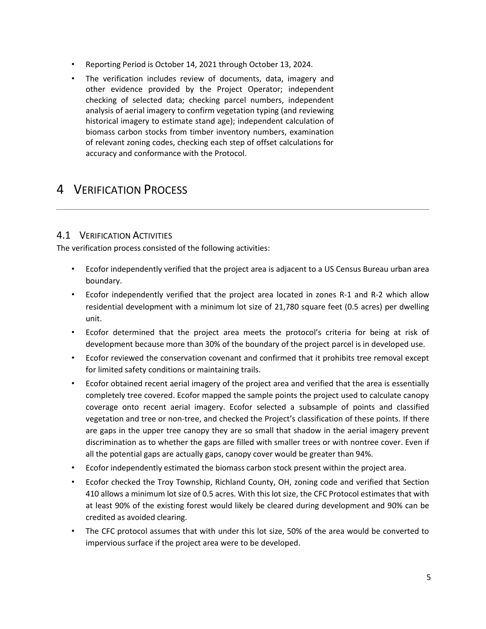- Reporting Period is October 14, 2021 through October 13, 2024.
- The verification includes review of documents, data, imagery and other evidence provided by the Project Operator; independent checking of selected data; checking parcel numbers, independent analysis of aerial imagery to confirm vegetation typing (and reviewing historical imagery to estimate stand age); independent calculation of biomass carbon stocks from timber inventory numbers, examination of relevant zoning codes, checking each step of offset calculations for accuracy and conformance with the Protocol.

### <span id="page-4-0"></span>4 VERIFICATION PROCESS

### <span id="page-4-1"></span>4.1 VERIFICATION ACTIVITIES

The verification process consisted of the following activities:

- Ecofor independently verified that the project area is adjacent to a US Census Bureau urban area boundary.
- Ecofor independently verified that the project area located in zones R-1 and R-2 which allow residential development with a minimum lot size of 21,780 square feet (0.5 acres) per dwelling unit.
- Ecofor determined that the project area meets the protocol's criteria for being at risk of development because more than 30% of the boundary of the project parcel is in developed use.
- Ecofor reviewed the conservation covenant and confirmed that it prohibits tree removal except for limited safety conditions or maintaining trails.
- Ecofor obtained recent aerial imagery of the project area and verified that the area is essentially completely tree covered. Ecofor mapped the sample points the project used to calculate canopy coverage onto recent aerial imagery. Ecofor selected a subsample of points and classified vegetation and tree or non-tree, and checked the Project's classification of these points. If there are gaps in the upper tree canopy they are so small that shadow in the aerial imagery prevent discrimination as to whether the gaps are filled with smaller trees or with nontree cover. Even if all the potential gaps are actually gaps, canopy cover would be greater than 94%.
- Ecofor independently estimated the biomass carbon stock present within the project area.
- Ecofor checked the Troy Township, Richland County, OH, zoning code and verified that Section 410 allows a minimum lot size of 0.5 acres. With this lot size, the CFC Protocol estimates that with at least 90% of the existing forest would likely be cleared during development and 90% can be credited as avoided clearing.
- The CFC protocol assumes that with under this lot size, 50% of the area would be converted to impervious surface if the project area were to be developed.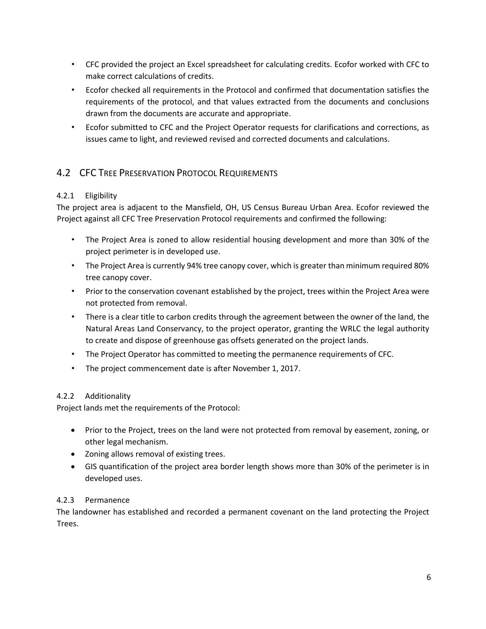- CFC provided the project an Excel spreadsheet for calculating credits. Ecofor worked with CFC to make correct calculations of credits.
- Ecofor checked all requirements in the Protocol and confirmed that documentation satisfies the requirements of the protocol, and that values extracted from the documents and conclusions drawn from the documents are accurate and appropriate.
- Ecofor submitted to CFC and the Project Operator requests for clarifications and corrections, as issues came to light, and reviewed revised and corrected documents and calculations.

### <span id="page-5-0"></span>4.2 CFC TREE PRESERVATION PROTOCOL REQUIREMENTS

### <span id="page-5-1"></span>4.2.1 Eligibility

The project area is adjacent to the Mansfield, OH, US Census Bureau Urban Area. Ecofor reviewed the Project against all CFC Tree Preservation Protocol requirements and confirmed the following:

- The Project Area is zoned to allow residential housing development and more than 30% of the project perimeter is in developed use.
- The Project Area is currently 94% tree canopy cover, which is greater than minimum required 80% tree canopy cover.
- Prior to the conservation covenant established by the project, trees within the Project Area were not protected from removal.
- There is a clear title to carbon credits through the agreement between the owner of the land, the Natural Areas Land Conservancy, to the project operator, granting the WRLC the legal authority to create and dispose of greenhouse gas offsets generated on the project lands.
- The Project Operator has committed to meeting the permanence requirements of CFC.
- The project commencement date is after November 1, 2017.

### <span id="page-5-2"></span>4.2.2 Additionality

Project lands met the requirements of the Protocol:

- Prior to the Project, trees on the land were not protected from removal by easement, zoning, or other legal mechanism.
- Zoning allows removal of existing trees.
- GIS quantification of the project area border length shows more than 30% of the perimeter is in developed uses.

### <span id="page-5-3"></span>4.2.3 Permanence

The landowner has established and recorded a permanent covenant on the land protecting the Project Trees.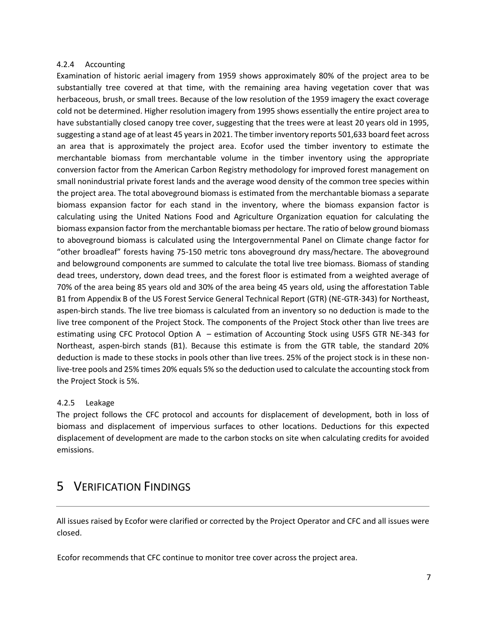#### <span id="page-6-0"></span>4.2.4 Accounting

Examination of historic aerial imagery from 1959 shows approximately 80% of the project area to be substantially tree covered at that time, with the remaining area having vegetation cover that was herbaceous, brush, or small trees. Because of the low resolution of the 1959 imagery the exact coverage cold not be determined. Higher resolution imagery from 1995 shows essentially the entire project area to have substantially closed canopy tree cover, suggesting that the trees were at least 20 years old in 1995, suggesting a stand age of at least 45 years in 2021. The timber inventory reports 501,633 board feet across an area that is approximately the project area. Ecofor used the timber inventory to estimate the merchantable biomass from merchantable volume in the timber inventory using the appropriate conversion factor from the American Carbon Registry methodology for improved forest management on small nonindustrial private forest lands and the average wood density of the common tree species within the project area. The total aboveground biomass is estimated from the merchantable biomass a separate biomass expansion factor for each stand in the inventory, where the biomass expansion factor is calculating using the United Nations Food and Agriculture Organization equation for calculating the biomass expansion factor from the merchantable biomass per hectare. The ratio of below ground biomass to aboveground biomass is calculated using the Intergovernmental Panel on Climate change factor for "other broadleaf" forests having 75-150 metric tons aboveground dry mass/hectare. The aboveground and belowground components are summed to calculate the total live tree biomass. Biomass of standing dead trees, understory, down dead trees, and the forest floor is estimated from a weighted average of 70% of the area being 85 years old and 30% of the area being 45 years old, using the afforestation Table B1 from Appendix B of the US Forest Service General Technical Report (GTR) (NE-GTR-343) for Northeast, aspen-birch stands. The live tree biomass is calculated from an inventory so no deduction is made to the live tree component of the Project Stock. The components of the Project Stock other than live trees are estimating using CFC Protocol Option A – estimation of Accounting Stock using USFS GTR NE-343 for Northeast, aspen-birch stands (B1). Because this estimate is from the GTR table, the standard 20% deduction is made to these stocks in pools other than live trees. 25% of the project stock is in these nonlive-tree pools and 25% times 20% equals 5% so the deduction used to calculate the accounting stock from the Project Stock is 5%.

#### <span id="page-6-1"></span>4.2.5 Leakage

The project follows the CFC protocol and accounts for displacement of development, both in loss of biomass and displacement of impervious surfaces to other locations. Deductions for this expected displacement of development are made to the carbon stocks on site when calculating credits for avoided emissions.

### <span id="page-6-2"></span>5 VERIFICATION FINDINGS

All issues raised by Ecofor were clarified or corrected by the Project Operator and CFC and all issues were closed.

Ecofor recommends that CFC continue to monitor tree cover across the project area.